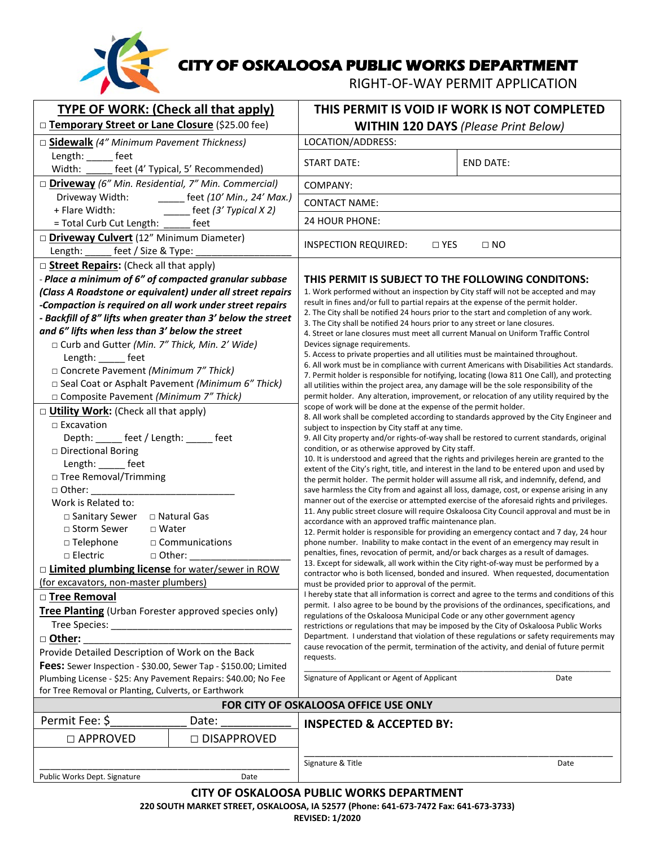

## **CITY OF OSKALOOSA PUBLIC WORKS DEPARTMENT**

RIGHT-OF-WAY PERMIT APPLICATION

| <b>TYPE OF WORK: (Check all that apply)</b><br>D Temporary Street or Lane Closure (\$25.00 fee)                   |               | THIS PERMIT IS VOID IF WORK IS NOT COMPLETED                                                                                                                                                                                                                                                                                                                                                                                                                                                                                                                                                                                                                                                                                                                                                |                  |
|-------------------------------------------------------------------------------------------------------------------|---------------|---------------------------------------------------------------------------------------------------------------------------------------------------------------------------------------------------------------------------------------------------------------------------------------------------------------------------------------------------------------------------------------------------------------------------------------------------------------------------------------------------------------------------------------------------------------------------------------------------------------------------------------------------------------------------------------------------------------------------------------------------------------------------------------------|------------------|
|                                                                                                                   |               | <b>WITHIN 120 DAYS (Please Print Below)</b><br>LOCATION/ADDRESS:                                                                                                                                                                                                                                                                                                                                                                                                                                                                                                                                                                                                                                                                                                                            |                  |
| □ Sidewalk (4" Minimum Pavement Thickness)<br>Length: ______ feet                                                 |               |                                                                                                                                                                                                                                                                                                                                                                                                                                                                                                                                                                                                                                                                                                                                                                                             |                  |
| Width: _____ feet (4' Typical, 5' Recommended)                                                                    |               | <b>START DATE:</b>                                                                                                                                                                                                                                                                                                                                                                                                                                                                                                                                                                                                                                                                                                                                                                          | <b>END DATE:</b> |
| □ <b>Driveway</b> (6" Min. Residential, 7" Min. Commercial)                                                       |               | COMPANY:                                                                                                                                                                                                                                                                                                                                                                                                                                                                                                                                                                                                                                                                                                                                                                                    |                  |
| Driveway Width: _______ feet (10' Min., 24' Max.)<br>$\frac{1}{\sqrt{2}}$ feet (3' Typical X 2)<br>+ Flare Width: |               | <b>CONTACT NAME:</b>                                                                                                                                                                                                                                                                                                                                                                                                                                                                                                                                                                                                                                                                                                                                                                        |                  |
| = Total Curb Cut Length: _____ feet                                                                               |               | 24 HOUR PHONE:                                                                                                                                                                                                                                                                                                                                                                                                                                                                                                                                                                                                                                                                                                                                                                              |                  |
| Driveway Culvert (12" Minimum Diameter)                                                                           |               | INSPECTION REQUIRED:<br>$\square$ YES<br>$\Box$ NO                                                                                                                                                                                                                                                                                                                                                                                                                                                                                                                                                                                                                                                                                                                                          |                  |
| Length: ______ feet / Size & Type:                                                                                |               |                                                                                                                                                                                                                                                                                                                                                                                                                                                                                                                                                                                                                                                                                                                                                                                             |                  |
| □ <b>Street Repairs:</b> (Check all that apply)                                                                   |               |                                                                                                                                                                                                                                                                                                                                                                                                                                                                                                                                                                                                                                                                                                                                                                                             |                  |
| - Place a minimum of 6" of compacted granular subbase                                                             |               | THIS PERMIT IS SUBJECT TO THE FOLLOWING CONDITONS:<br>1. Work performed without an inspection by City staff will not be accepted and may<br>result in fines and/or full to partial repairs at the expense of the permit holder.<br>2. The City shall be notified 24 hours prior to the start and completion of any work.                                                                                                                                                                                                                                                                                                                                                                                                                                                                    |                  |
| (Class A Roadstone or equivalent) under all street repairs                                                        |               |                                                                                                                                                                                                                                                                                                                                                                                                                                                                                                                                                                                                                                                                                                                                                                                             |                  |
| -Compaction is required on all work under street repairs                                                          |               |                                                                                                                                                                                                                                                                                                                                                                                                                                                                                                                                                                                                                                                                                                                                                                                             |                  |
| - Backfill of 8" lifts when greater than 3' below the street                                                      |               |                                                                                                                                                                                                                                                                                                                                                                                                                                                                                                                                                                                                                                                                                                                                                                                             |                  |
| and 6" lifts when less than 3' below the street                                                                   |               | 3. The City shall be notified 24 hours prior to any street or lane closures.<br>4. Street or lane closures must meet all current Manual on Uniform Traffic Control                                                                                                                                                                                                                                                                                                                                                                                                                                                                                                                                                                                                                          |                  |
| □ Curb and Gutter (Min. 7" Thick, Min. 2' Wide)                                                                   |               | Devices signage requirements.                                                                                                                                                                                                                                                                                                                                                                                                                                                                                                                                                                                                                                                                                                                                                               |                  |
| Length: _____ feet                                                                                                |               | 5. Access to private properties and all utilities must be maintained throughout.                                                                                                                                                                                                                                                                                                                                                                                                                                                                                                                                                                                                                                                                                                            |                  |
| □ Concrete Pavement (Minimum 7" Thick)                                                                            |               | 6. All work must be in compliance with current Americans with Disabilities Act standards.                                                                                                                                                                                                                                                                                                                                                                                                                                                                                                                                                                                                                                                                                                   |                  |
| □ Seal Coat or Asphalt Pavement (Minimum 6" Thick)                                                                |               | 7. Permit holder is responsible for notifying, locating (lowa 811 One Call), and protecting<br>all utilities within the project area, any damage will be the sole responsibility of the                                                                                                                                                                                                                                                                                                                                                                                                                                                                                                                                                                                                     |                  |
| □ Composite Pavement (Minimum 7" Thick)                                                                           |               | permit holder. Any alteration, improvement, or relocation of any utility required by the                                                                                                                                                                                                                                                                                                                                                                                                                                                                                                                                                                                                                                                                                                    |                  |
| $\Box$ <b>Utility Work:</b> (Check all that apply)                                                                |               | scope of work will be done at the expense of the permit holder.                                                                                                                                                                                                                                                                                                                                                                                                                                                                                                                                                                                                                                                                                                                             |                  |
| $\Box$ Excavation                                                                                                 |               | 8. All work shall be completed according to standards approved by the City Engineer and<br>subject to inspection by City staff at any time.                                                                                                                                                                                                                                                                                                                                                                                                                                                                                                                                                                                                                                                 |                  |
| Depth: ______ feet / Length: _____ feet                                                                           |               | 9. All City property and/or rights-of-way shall be restored to current standards, original                                                                                                                                                                                                                                                                                                                                                                                                                                                                                                                                                                                                                                                                                                  |                  |
| □ Directional Boring                                                                                              |               | condition, or as otherwise approved by City staff.                                                                                                                                                                                                                                                                                                                                                                                                                                                                                                                                                                                                                                                                                                                                          |                  |
| Length: _____ feet                                                                                                |               | 10. It is understood and agreed that the rights and privileges herein are granted to the<br>extent of the City's right, title, and interest in the land to be entered upon and used by                                                                                                                                                                                                                                                                                                                                                                                                                                                                                                                                                                                                      |                  |
| □ Tree Removal/Trimming                                                                                           |               |                                                                                                                                                                                                                                                                                                                                                                                                                                                                                                                                                                                                                                                                                                                                                                                             |                  |
| $\Box$ Other:                                                                                                     |               | the permit holder. The permit holder will assume all risk, and indemnify, defend, and<br>save harmless the City from and against all loss, damage, cost, or expense arising in any                                                                                                                                                                                                                                                                                                                                                                                                                                                                                                                                                                                                          |                  |
| Work is Related to:                                                                                               |               | manner out of the exercise or attempted exercise of the aforesaid rights and privileges.<br>11. Any public street closure will require Oskaloosa City Council approval and must be in<br>accordance with an approved traffic maintenance plan.                                                                                                                                                                                                                                                                                                                                                                                                                                                                                                                                              |                  |
| □ Sanitary Sewer<br>□ Natural Gas                                                                                 |               |                                                                                                                                                                                                                                                                                                                                                                                                                                                                                                                                                                                                                                                                                                                                                                                             |                  |
| $\sqcap$ Storm Sewer<br>$\Box$ Water                                                                              |               |                                                                                                                                                                                                                                                                                                                                                                                                                                                                                                                                                                                                                                                                                                                                                                                             |                  |
| □ Telephone<br>$\Box$ Communications                                                                              |               | 12. Permit holder is responsible for providing an emergency contact and 7 day, 24 hour<br>phone number. Inability to make contact in the event of an emergency may result in                                                                                                                                                                                                                                                                                                                                                                                                                                                                                                                                                                                                                |                  |
| $\Box$ Electric                                                                                                   | $\Box$ Other: | penalties, fines, revocation of permit, and/or back charges as a result of damages.                                                                                                                                                                                                                                                                                                                                                                                                                                                                                                                                                                                                                                                                                                         |                  |
| □ Limited plumbing license for water/sewer in ROW                                                                 |               | 13. Except for sidewalk, all work within the City right-of-way must be performed by a<br>contractor who is both licensed, bonded and insured. When requested, documentation<br>must be provided prior to approval of the permit.<br>I hereby state that all information is correct and agree to the terms and conditions of this<br>permit. I also agree to be bound by the provisions of the ordinances, specifications, and<br>regulations of the Oskaloosa Municipal Code or any other government agency<br>restrictions or regulations that may be imposed by the City of Oskaloosa Public Works<br>Department. I understand that violation of these regulations or safety requirements may<br>cause revocation of the permit, termination of the activity, and denial of future permit |                  |
| (for excavators, non-master plumbers)                                                                             |               |                                                                                                                                                                                                                                                                                                                                                                                                                                                                                                                                                                                                                                                                                                                                                                                             |                  |
| □ Tree Removal                                                                                                    |               |                                                                                                                                                                                                                                                                                                                                                                                                                                                                                                                                                                                                                                                                                                                                                                                             |                  |
| <b>Tree Planting</b> (Urban Forester approved species only)                                                       |               |                                                                                                                                                                                                                                                                                                                                                                                                                                                                                                                                                                                                                                                                                                                                                                                             |                  |
|                                                                                                                   |               |                                                                                                                                                                                                                                                                                                                                                                                                                                                                                                                                                                                                                                                                                                                                                                                             |                  |
| □ Other:                                                                                                          |               |                                                                                                                                                                                                                                                                                                                                                                                                                                                                                                                                                                                                                                                                                                                                                                                             |                  |
| Provide Detailed Description of Work on the Back                                                                  |               |                                                                                                                                                                                                                                                                                                                                                                                                                                                                                                                                                                                                                                                                                                                                                                                             |                  |
| Fees: Sewer Inspection - \$30.00, Sewer Tap - \$150.00; Limited                                                   |               | requests.                                                                                                                                                                                                                                                                                                                                                                                                                                                                                                                                                                                                                                                                                                                                                                                   |                  |
| Plumbing License - \$25: Any Pavement Repairs: \$40.00; No Fee                                                    |               | Signature of Applicant or Agent of Applicant                                                                                                                                                                                                                                                                                                                                                                                                                                                                                                                                                                                                                                                                                                                                                | Date             |
| for Tree Removal or Planting, Culverts, or Earthwork                                                              |               |                                                                                                                                                                                                                                                                                                                                                                                                                                                                                                                                                                                                                                                                                                                                                                                             |                  |
| FOR CITY OF OSKALOOSA OFFICE USE ONLY                                                                             |               |                                                                                                                                                                                                                                                                                                                                                                                                                                                                                                                                                                                                                                                                                                                                                                                             |                  |
| Permit Fee: \$                                                                                                    | Date:         | <b>INSPECTED &amp; ACCEPTED BY:</b>                                                                                                                                                                                                                                                                                                                                                                                                                                                                                                                                                                                                                                                                                                                                                         |                  |
| □ APPROVED                                                                                                        | □ DISAPPROVED |                                                                                                                                                                                                                                                                                                                                                                                                                                                                                                                                                                                                                                                                                                                                                                                             |                  |
|                                                                                                                   |               |                                                                                                                                                                                                                                                                                                                                                                                                                                                                                                                                                                                                                                                                                                                                                                                             |                  |
|                                                                                                                   |               | Signature & Title                                                                                                                                                                                                                                                                                                                                                                                                                                                                                                                                                                                                                                                                                                                                                                           | Date             |
| Public Works Dept. Signature                                                                                      | Date          |                                                                                                                                                                                                                                                                                                                                                                                                                                                                                                                                                                                                                                                                                                                                                                                             |                  |